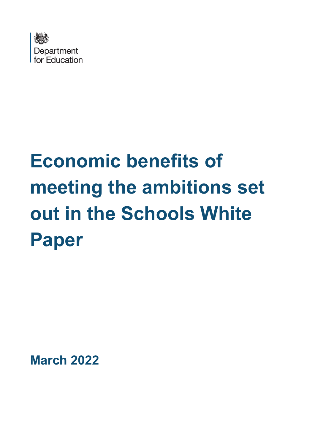

# **Economic benefits of meeting the ambitions set out in the Schools White Paper**

**March 2022**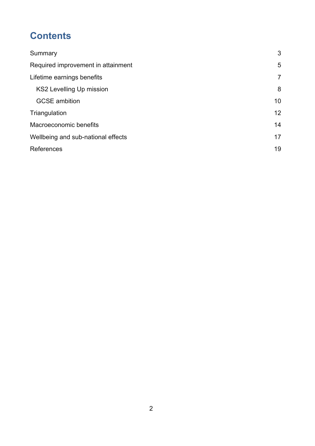# **Contents**

| Summary                            | 3               |
|------------------------------------|-----------------|
| Required improvement in attainment | 5               |
| Lifetime earnings benefits         | $\overline{7}$  |
| <b>KS2 Levelling Up mission</b>    | 8               |
| <b>GCSE</b> ambition               | 10 <sup>°</sup> |
| Triangulation                      | 12 <sup>2</sup> |
| Macroeconomic benefits             | 14              |
| Wellbeing and sub-national effects | 17              |
| References                         | 19              |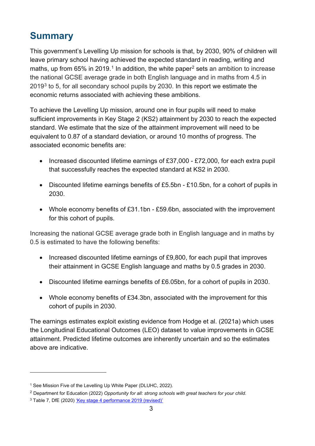# <span id="page-2-0"></span>**Summary**

This government's Levelling Up mission for schools is that, by 2030, 90% of children will leave primary school having achieved the expected standard in reading, writing and maths, up from 65% in 20[1](#page-2-1)9.<sup>1</sup> In addition, the white paper<sup>[2](#page-2-2)</sup> sets an ambition to increase the national GCSE average grade in both English language and in maths from 4.5 in 2019[3](#page-2-3) to 5, for all secondary school pupils by 2030. In this report we estimate the economic returns associated with achieving these ambitions.

To achieve the Levelling Up mission, around one in four pupils will need to make sufficient improvements in Key Stage 2 (KS2) attainment by 2030 to reach the expected standard. We estimate that the size of the attainment improvement will need to be equivalent to 0.87 of a standard deviation, or around 10 months of progress. The associated economic benefits are:

- Increased discounted lifetime earnings of £37,000 £72,000, for each extra pupil that successfully reaches the expected standard at KS2 in 2030.
- Discounted lifetime earnings benefits of £5.5bn £10.5bn, for a cohort of pupils in 2030.
- Whole economy benefits of £31.1bn £59.6bn, associated with the improvement for this cohort of pupils.

Increasing the national GCSE average grade both in English language and in maths by 0.5 is estimated to have the following benefits:

- Increased discounted lifetime earnings of £9,800, for each pupil that improves their attainment in GCSE English language and maths by 0.5 grades in 2030.
- Discounted lifetime earnings benefits of £6.05bn, for a cohort of pupils in 2030.
- Whole economy benefits of £34.3bn, associated with the improvement for this cohort of pupils in 2030.

The earnings estimates exploit existing evidence from Hodge et al. (2021a) which uses the Longitudinal Educational Outcomes (LEO) dataset to value improvements in GCSE attainment. Predicted lifetime outcomes are inherently uncertain and so the estimates above are indicative.

<span id="page-2-1"></span><sup>&</sup>lt;sup>1</sup> See Mission Five of the Levelling Up White Paper (DLUHC, 2022).

<span id="page-2-2"></span><sup>2</sup> Department for Education (2022) *Opportunity for all: strong schools with great teachers for your child*.

<span id="page-2-3"></span><sup>&</sup>lt;sup>3</sup> Table 7, DfE (2020) ['Key stage 4 performance 2019 \(revised\)'](https://www.gov.uk/government/statistics/key-stage-4-performance-2019-revised)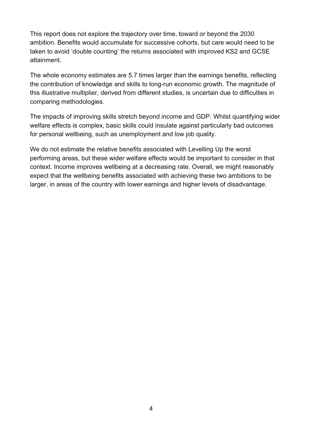This report does not explore the trajectory over time, toward or beyond the 2030 ambition. Benefits would accumulate for successive cohorts, but care would need to be taken to avoid 'double counting' the returns associated with improved KS2 and GCSE attainment.

The whole economy estimates are 5.7 times larger than the earnings benefits, reflecting the contribution of knowledge and skills to long-run economic growth. The magnitude of this illustrative multiplier, derived from different studies, is uncertain due to difficulties in comparing methodologies.

The impacts of improving skills stretch beyond income and GDP. Whilst quantifying wider welfare effects is complex, basic skills could insulate against particularly bad outcomes for personal wellbeing, such as unemployment and low job quality.

We do not estimate the relative benefits associated with Levelling Up the worst performing areas, but these wider welfare effects would be important to consider in that context. Income improves wellbeing at a decreasing rate. Overall, we might reasonably expect that the wellbeing benefits associated with achieving these two ambitions to be larger, in areas of the country with lower earnings and higher levels of disadvantage.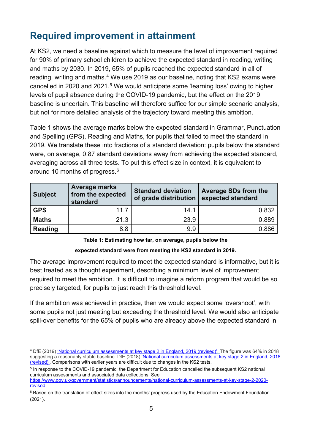# <span id="page-4-0"></span>**Required improvement in attainment**

At KS2, we need a baseline against which to measure the level of improvement required for 90% of primary school children to achieve the expected standard in reading, writing and maths by 2030. In 2019, 65% of pupils reached the expected standard in all of reading, writing and maths.<sup>[4](#page-4-1)</sup> We use 2019 as our baseline, noting that KS2 exams were cancelled in 2020 and 2021.<sup>5</sup> We would anticipate some 'learning loss' owing to higher levels of pupil absence during the COVID-19 pandemic, but the effect on the 2019 baseline is uncertain. This baseline will therefore suffice for our simple scenario analysis, but not for more detailed analysis of the trajectory toward meeting this ambition.

Table 1 shows the average marks below the expected standard in Grammar, Punctuation and Spelling (GPS), Reading and Maths, for pupils that failed to meet the standard in 2019. We translate these into fractions of a standard deviation: pupils below the standard were, on average, 0.87 standard deviations away from achieving the expected standard, averaging across all three tests. To put this effect size in context, it is equivalent to around 10 months of progress.[6](#page-4-3)

| <b>Subject</b> | <b>Average marks</b><br>from the expected<br>standard | <b>Standard deviation</b><br>of grade distribution | <b>Average SDs from the</b><br>expected standard |
|----------------|-------------------------------------------------------|----------------------------------------------------|--------------------------------------------------|
| <b>GPS</b>     | 11.7                                                  | 14.1                                               | 0.832                                            |
| <b>Maths</b>   | 21.3                                                  | 23.9                                               | 0.889                                            |
| <b>Reading</b> | 8.8                                                   | 9.9                                                | 0.886                                            |

#### **Table 1: Estimating how far, on average, pupils below the**

#### **expected standard were from meeting the KS2 standard in 2019.**

The average improvement required to meet the expected standard is informative, but it is best treated as a thought experiment, describing a minimum level of improvement required to meet the ambition. It is difficult to imagine a reform program that would be so precisely targeted, for pupils to just reach this threshold level.

If the ambition was achieved in practice, then we would expect some 'overshoot', with some pupils not just meeting but exceeding the threshold level. We would also anticipate spill-over benefits for the 65% of pupils who are already above the expected standard in

<span id="page-4-2"></span><sup>5</sup> In response to the COVID-19 pandemic, the Department for Education cancelled the subsequent KS2 national curriculum assessments and associated data collections. See [https://www.gov.uk/government/statistics/announcements/national-curriculum-assessments-at-key-stage-2-2020-](https://www.gov.uk/government/statistics/announcements/national-curriculum-assessments-at-key-stage-2-2020-revised)

<span id="page-4-1"></span><sup>&</sup>lt;sup>4</sup> DfE (2019) <u>['National curriculum assessments at key stage 2 in England, 2019 \(revised\)'.](https://assets.publishing.service.gov.uk/government/uploads/system/uploads/attachment_data/file/851798/KS2_Revised_publication_text_2019_v3.pdf) The figure was 64% in 2018</u> suggesting a reasonably stable baseline. DfE (2018) <u>'National curriculum assessments at key stage 2 in England, 2018</u> [\(revised\)'.](https://assets.publishing.service.gov.uk/government/uploads/system/uploads/attachment_data/file/774446/KS2_Revised_2018_text_MATS_20190130.pdf) Comparisons with earlier years are difficult due to changes in the KS2 tests.

[revised](https://www.gov.uk/government/statistics/announcements/national-curriculum-assessments-at-key-stage-2-2020-revised) 

<span id="page-4-3"></span><sup>&</sup>lt;sup>6</sup> Based on the translation of effect sizes into the months' progress used by the Education Endowment Foundation (2021).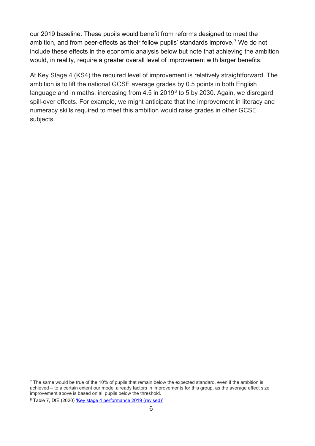our 2019 baseline. These pupils would benefit from reforms designed to meet the ambition, and from peer-effects as their fellow pupils' standards improve. [7](#page-5-0) We do not include these effects in the economic analysis below but note that achieving the ambition would, in reality, require a greater overall level of improvement with larger benefits.

At Key Stage 4 (KS4) the required level of improvement is relatively straightforward. The ambition is to lift the national GCSE average grades by 0.5 points in both English language and in maths, increasing from 4.5 in 2019[8](#page-5-1) to 5 by 2030. Again, we disregard spill-over effects. For example, we might anticipate that the improvement in literacy and numeracy skills required to meet this ambition would raise grades in other GCSE subjects.

<span id="page-5-0"></span> $<sup>7</sup>$  The same would be true of the 10% of pupils that remain below the expected standard, even if the ambition is</sup> achieved – to a certain extent our model already factors in improvements for this group, as the average effect size improvement above is based on all pupils below the threshold.

<span id="page-5-1"></span><sup>&</sup>lt;sup>8</sup> Table 7, DfE (2020[\) 'Key stage 4 performance 2019 \(revised\)'](https://www.gov.uk/government/statistics/key-stage-4-performance-2019-revised)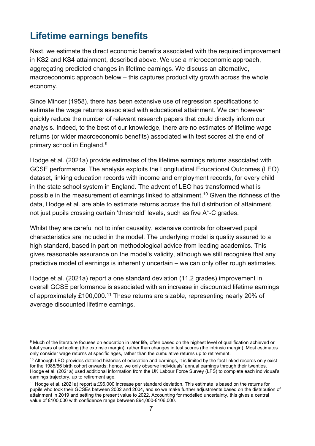## <span id="page-6-0"></span>**Lifetime earnings benefits**

Next, we estimate the direct economic benefits associated with the required improvement in KS2 and KS4 attainment, described above. We use a microeconomic approach, aggregating predicted changes in lifetime earnings. We discuss an alternative, macroeconomic approach below – this captures productivity growth across the whole economy.

Since Mincer (1958), there has been extensive use of regression specifications to estimate the wage returns associated with educational attainment. We can however quickly reduce the number of relevant research papers that could directly inform our analysis. Indeed, to the best of our knowledge, there are no estimates of lifetime wage returns (or wider macroeconomic benefits) associated with test scores at the end of primary school in England.[9](#page-6-1)

Hodge et al. (2021a) provide estimates of the lifetime earnings returns associated with GCSE performance. The analysis exploits the Longitudinal Educational Outcomes (LEO) dataset, linking education records with income and employment records, for every child in the state school system in England. The advent of LEO has transformed what is possible in the measurement of earnings linked to attainment.<sup>[10](#page-6-2)</sup> Given the richness of the data, Hodge et al. are able to estimate returns across the full distribution of attainment, not just pupils crossing certain 'threshold' levels, such as five A\*-C grades.

Whilst they are careful not to infer causality, extensive controls for observed pupil characteristics are included in the model. The underlying model is quality assured to a high standard, based in part on methodological advice from leading academics. This gives reasonable assurance on the model's validity, although we still recognise that any predictive model of earnings is inherently uncertain – we can only offer rough estimates.

Hodge et al. (2021a) report a one standard deviation (11.2 grades) improvement in overall GCSE performance is associated with an increase in discounted lifetime earnings of approximately £100,000.<sup>[11](#page-6-3)</sup> These returns are sizable, representing nearly 20% of average discounted lifetime earnings.

<span id="page-6-1"></span><sup>&</sup>lt;sup>9</sup> Much of the literature focuses on education in later life, often based on the highest level of qualification achieved or total years of schooling (the extrinsic margin), rather than changes in test scores (the intrinsic margin). Most estimates only consider wage returns at specific ages, rather than the cumulative returns up to retirement.

<span id="page-6-2"></span><sup>&</sup>lt;sup>10</sup> Although LEO provides detailed histories of education and earnings, it is limited by the fact linked records only exist for the 1985/86 birth cohort onwards; hence, we only observe individuals' annual earnings through their twenties. Hodge et al. (2021a) used additional information from the UK Labour Force Survey (LFS) to complete each individual's earnings trajectory, up to retirement age.

<span id="page-6-3"></span><sup>11</sup> Hodge et al. (2021a) report a £96,000 increase per standard deviation. This estimate is based on the returns for pupils who took their GCSEs between 2002 and 2004, and so we make further adjustments based on the distribution of attainment in 2019 and setting the present value to 2022. Accounting for modelled uncertainty, this gives a central value of £100,000 with confidence range between £94,000-£106,000.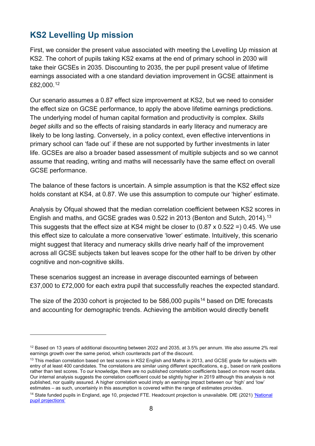## <span id="page-7-0"></span>**KS2 Levelling Up mission**

First, we consider the present value associated with meeting the Levelling Up mission at KS2. The cohort of pupils taking KS2 exams at the end of primary school in 2030 will take their GCSEs in 2035. Discounting to 2035, the per pupil present value of lifetime earnings associated with a one standard deviation improvement in GCSE attainment is £82,000. [12](#page-7-1) 

Our scenario assumes a 0.87 effect size improvement at KS2, but we need to consider the effect size on GCSE performance, to apply the above lifetime earnings predictions. The underlying model of human capital formation and productivity is complex. *Skills beget skills* and so the effects of raising standards in early literacy and numeracy are likely to be long lasting. Conversely, in a policy context, even effective interventions in primary school can 'fade out' if these are not supported by further investments in later life. GCSEs are also a broader based assessment of multiple subjects and so we cannot assume that reading, writing and maths will necessarily have the same effect on overall GCSE performance.

The balance of these factors is uncertain. A simple assumption is that the KS2 effect size holds constant at KS4, at 0.87. We use this assumption to compute our 'higher' estimate.

Analysis by Ofqual showed that the median correlation coefficient between KS2 scores in English and maths, and GCSE grades was 0.522 in 2013 (Benton and Sutch, 2014). [13](#page-7-2) This suggests that the effect size at KS4 might be closer to (0.87 x 0.522 =) 0.45. We use this effect size to calculate a more conservative 'lower' estimate. Intuitively, this scenario might suggest that literacy and numeracy skills drive nearly half of the improvement across all GCSE subjects taken but leaves scope for the other half to be driven by other cognitive and non-cognitive skills.

These scenarios suggest an increase in average discounted earnings of between £37,000 to £72,000 for each extra pupil that successfully reaches the expected standard.

The size of the 2030 cohort is projected to be  $586,000$  pupils<sup>[14](#page-7-3)</sup> based on DfE forecasts and accounting for demographic trends. Achieving the ambition would directly benefit

<span id="page-7-1"></span><sup>&</sup>lt;sup>12</sup> Based on 13 years of additional discounting between 2022 and 2035, at 3.5% per annum. We also assume 2% real earnings growth over the same period, which counteracts part of the discount.

<span id="page-7-2"></span><sup>&</sup>lt;sup>13</sup> This median correlation based on test scores in KS2 English and Maths in 2013, and GCSE grade for subjects with entry of at least 400 candidates. The correlations are similar using different specifications, e.g., based on rank positions rather than test scores. To our knowledge, there are no published correlation coefficients based on more recent data. Our internal analysis suggests the correlation coefficient could be slightly higher in 2019 although this analysis is not published, nor quality assured. A higher correlation would imply an earnings impact between our 'high' and 'low' estimates – as such, uncertainly in this assumption is covered within the range of estimates provides.

<span id="page-7-3"></span><sup>&</sup>lt;sup>14</sup> State funded pupils in England, age 10, projected FTE. Headcount projection is unavailable. DfE (2021) 'National [pupil projections'](https://explore-education-statistics.service.gov.uk/find-statistics/national-pupil-projections)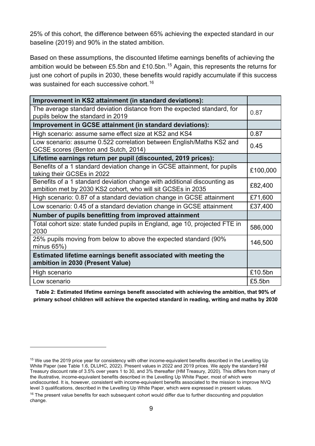25% of this cohort, the difference between 65% achieving the expected standard in our baseline (2019) and 90% in the stated ambition.

Based on these assumptions, the discounted lifetime earnings benefits of achieving the ambition would be between £5.5bn and £10.5bn.<sup>[15](#page-8-0)</sup> Again, this represents the returns for just one cohort of pupils in 2030, these benefits would rapidly accumulate if this success was sustained for each successive cohort.<sup>16</sup>

| Improvement in KS2 attainment (in standard deviations):                                                                                 |          |
|-----------------------------------------------------------------------------------------------------------------------------------------|----------|
| The average standard deviation distance from the expected standard, for<br>pupils below the standard in 2019                            | 0.87     |
| Improvement in GCSE attainment (in standard deviations):                                                                                |          |
| High scenario: assume same effect size at KS2 and KS4                                                                                   | 0.87     |
| Low scenario: assume 0.522 correlation between English/Maths KS2 and<br>GCSE scores (Benton and Sutch, 2014)                            | 0.45     |
| Lifetime earnings return per pupil (discounted, 2019 prices):                                                                           |          |
| Benefits of a 1 standard deviation change in GCSE attainment, for pupils<br>taking their GCSEs in 2022                                  | £100,000 |
| Benefits of a 1 standard deviation change with additional discounting as<br>ambition met by 2030 KS2 cohort, who will sit GCSEs in 2035 | £82,400  |
| High scenario: 0.87 of a standard deviation change in GCSE attainment                                                                   | £71,600  |
| Low scenario: 0.45 of a standard deviation change in GCSE attainment                                                                    | £37,400  |
| Number of pupils benefitting from improved attainment                                                                                   |          |
| Total cohort size: state funded pupils in England, age 10, projected FTE in<br>2030                                                     | 586,000  |
| 25% pupils moving from below to above the expected standard (90%)<br>minus $65\%$ )                                                     | 146,500  |
| Estimated lifetime earnings benefit associated with meeting the<br>ambition in 2030 (Present Value)                                     |          |
| High scenario                                                                                                                           | £10.5bn  |
| Low scenario                                                                                                                            | £5.5bn   |

**Table 2: Estimated lifetime earnings benefit associated with achieving the ambition, that 90% of primary school children will achieve the expected standard in reading, writing and maths by 2030**

<span id="page-8-0"></span><sup>&</sup>lt;sup>15</sup> We use the 2019 price year for consistency with other income-equivalent benefits described in the Levelling Up White Paper (see Table 1.6, DLUHC, 2022). Present values in 2022 and 2019 prices. We apply the standard HM Treasury discount rate of 3.5% over years 1 to 30, and 3% thereafter (HM Treasury, 2020). This differs from many of the illustrative, income-equivalent benefits described in the Levelling Up White Paper, most of which were undiscounted. It is, however, consistent with income-equivalent benefits associated to the mission to improve NVQ level 3 qualifications, described in the Levelling Up White Paper, which were expressed in present values.

<span id="page-8-1"></span><sup>&</sup>lt;sup>16</sup> The present value benefits for each subsequent cohort would differ due to further discounting and population change.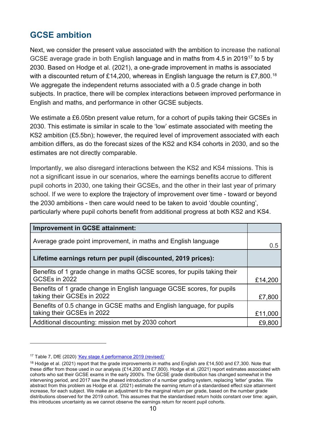## <span id="page-9-0"></span>**GCSE ambition**

Next, we consider the present value associated with the ambition to increase the national GCSE average grade in both English language and in maths from 4.5 in 2019<sup>[17](#page-9-1)</sup> to 5 by 2030. Based on Hodge et al. (2021), a one-grade improvement in maths is associated with a discounted return of £14,200, whereas in English language the return is £7,800.<sup>[18](#page-9-2)</sup> We aggregate the independent returns associated with a 0.5 grade change in both subjects. In practice, there will be complex interactions between improved performance in English and maths, and performance in other GCSE subjects.

We estimate a £6.05bn present value return, for a cohort of pupils taking their GCSEs in 2030. This estimate is similar in scale to the 'low' estimate associated with meeting the KS2 ambition (£5.5bn); however, the required level of improvement associated with each ambition differs, as do the forecast sizes of the KS2 and KS4 cohorts in 2030, and so the estimates are not directly comparable.

Importantly, we also disregard interactions between the KS2 and KS4 missions. This is not a significant issue in our scenarios, where the earnings benefits accrue to different pupil cohorts in 2030, one taking their GCSEs, and the other in their last year of primary school. If we were to explore the trajectory of improvement over time - toward or beyond the 2030 ambitions - then care would need to be taken to avoid 'double counting', particularly where pupil cohorts benefit from additional progress at both KS2 and KS4.

| <b>Improvement in GCSE attainment:</b>                                                               |         |
|------------------------------------------------------------------------------------------------------|---------|
| Average grade point improvement, in maths and English language                                       | 0.5     |
| Lifetime earnings return per pupil (discounted, 2019 prices):                                        |         |
| Benefits of 1 grade change in maths GCSE scores, for pupils taking their<br>GCSEs in 2022            | £14,200 |
| Benefits of 1 grade change in English language GCSE scores, for pupils<br>taking their GCSEs in 2022 | £7,800  |
| Benefits of 0.5 change in GCSE maths and English language, for pupils<br>taking their GCSEs in 2022  | £11,000 |
| Additional discounting: mission met by 2030 cohort                                                   | £9,800  |

<span id="page-9-1"></span><sup>&</sup>lt;sup>17</sup> Table 7, DfE (2020) ['Key stage 4 performance 2019 \(revised\)'](https://www.gov.uk/government/statistics/key-stage-4-performance-2019-revised)

<span id="page-9-2"></span><sup>&</sup>lt;sup>18</sup> Hodge et al. (2021) report that the grade improvements in maths and English are £14,500 and £7,300. Note that these differ from those used in our analysis (£14,200 and £7,800). Hodge et al. (2021) report estimates associated with cohorts who sat their GCSE exams in the early 2000's. The GCSE grade distribution has changed somewhat in the intervening period, and 2017 saw the phased introduction of a number grading system, replacing 'letter' grades. We abstract from this problem as Hodge et al. (2021) estimate the earning return of a standardised effect size attainment increase, for each subject. We make an adjustment to the marginal return per grade, based on the number grade distributions observed for the 2019 cohort. This assumes that the standardised return holds constant over time: again, this introduces uncertainty as we cannot observe the earnings return for recent pupil cohorts.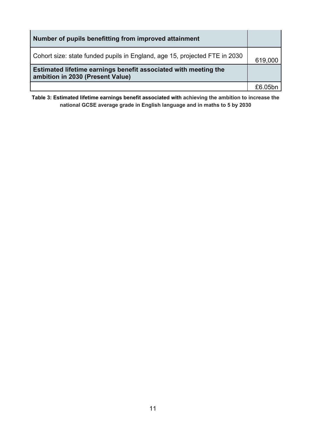| Number of pupils benefitting from improved attainment                                               |         |
|-----------------------------------------------------------------------------------------------------|---------|
| Cohort size: state funded pupils in England, age 15, projected FTE in 2030                          | 619,000 |
| Estimated lifetime earnings benefit associated with meeting the<br>ambition in 2030 (Present Value) |         |
|                                                                                                     | £6 05bn |

**Table 3: Estimated lifetime earnings benefit associated with achieving the ambition to increase the national GCSE average grade in English language and in maths to 5 by 2030**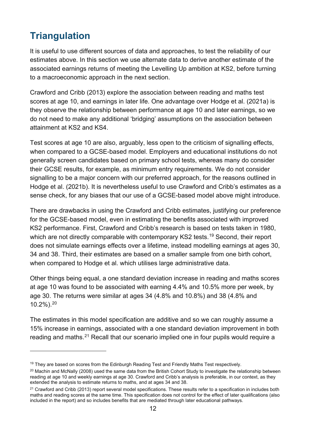# <span id="page-11-0"></span>**Triangulation**

It is useful to use different sources of data and approaches, to test the reliability of our estimates above. In this section we use alternate data to derive another estimate of the associated earnings returns of meeting the Levelling Up ambition at KS2, before turning to a macroeconomic approach in the next section.

Crawford and Cribb (2013) explore the association between reading and maths test scores at age 10, and earnings in later life. One advantage over Hodge et al. (2021a) is they observe the relationship between performance at age 10 and later earnings, so we do not need to make any additional 'bridging' assumptions on the association between attainment at KS2 and KS4.

Test scores at age 10 are also, arguably, less open to the criticism of signalling effects, when compared to a GCSE-based model. Employers and educational institutions do not generally screen candidates based on primary school tests, whereas many do consider their GCSE results, for example, as minimum entry requirements. We do not consider signalling to be a major concern with our preferred approach, for the reasons outlined in Hodge et al. (2021b). It is nevertheless useful to use Crawford and Cribb's estimates as a sense check, for any biases that our use of a GCSE-based model above might introduce.

There are drawbacks in using the Crawford and Cribb estimates, justifying our preference for the GCSE-based model, even in estimating the benefits associated with improved KS2 performance. First, Crawford and Cribb's research is based on tests taken in 1980, which are not directly comparable with contemporary KS2 tests. [19](#page-11-1) Second, their report does not simulate earnings effects over a lifetime, instead modelling earnings at ages 30, 34 and 38. Third, their estimates are based on a smaller sample from one birth cohort, when compared to Hodge et al. which utilises large administrative data.

Other things being equal, a one standard deviation increase in reading and maths scores at age 10 was found to be associated with earning 4.4% and 10.5% more per week, by age 30. The returns were similar at ages 34 (4.8% and 10.8%) and 38 (4.8% and 10.2%).[20](#page-11-2)

The estimates in this model specification are additive and so we can roughly assume a 15% increase in earnings, associated with a one standard deviation improvement in both reading and maths.<sup>[21](#page-11-3)</sup> Recall that our scenario implied one in four pupils would require a

<span id="page-11-1"></span><sup>&</sup>lt;sup>19</sup> They are based on scores from the Edinburgh Reading Test and Friendly Maths Test respectively.

<span id="page-11-2"></span> $20$  Machin and McNally (2008) used the same data from the British Cohort Study to investigate the relationship between reading at age 10 and weekly earnings at age 30. Crawford and Cribb's analysis is preferable, in our context, as they extended the analysis to estimate returns to maths, and at ages 34 and 38.

<span id="page-11-3"></span><sup>&</sup>lt;sup>21</sup> Crawford and Cribb (2013) report several model specifications. These results refer to a specification in includes both maths and reading scores at the same time. This specification does not control for the effect of later qualifications (also included in the report) and so includes benefits that are mediated through later educational pathways.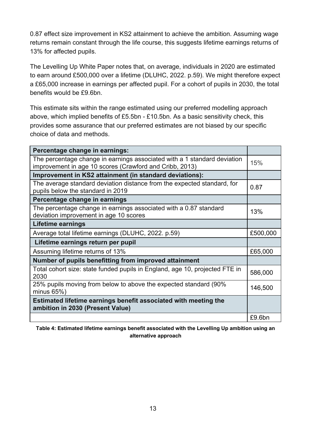0.87 effect size improvement in KS2 attainment to achieve the ambition. Assuming wage returns remain constant through the life course, this suggests lifetime earnings returns of 13% for affected pupils.

The Levelling Up White Paper notes that, on average, individuals in 2020 are estimated to earn around £500,000 over a lifetime (DLUHC, 2022. p.59). We might therefore expect a £65,000 increase in earnings per affected pupil. For a cohort of pupils in 2030, the total benefits would be £9.6bn.

This estimate sits within the range estimated using our preferred modelling approach above, which implied benefits of £5.5bn - £10.5bn. As a basic sensitivity check, this provides some assurance that our preferred estimates are not biased by our specific choice of data and methods.

| Percentage change in earnings:                                                                                                      |          |
|-------------------------------------------------------------------------------------------------------------------------------------|----------|
| The percentage change in earnings associated with a 1 standard deviation<br>improvement in age 10 scores (Crawford and Cribb, 2013) | 15%      |
| Improvement in KS2 attainment (in standard deviations):                                                                             |          |
| The average standard deviation distance from the expected standard, for<br>pupils below the standard in 2019                        | 0.87     |
| Percentage change in earnings                                                                                                       |          |
| The percentage change in earnings associated with a 0.87 standard<br>deviation improvement in age 10 scores                         | 13%      |
| Lifetime earnings                                                                                                                   |          |
| Average total lifetime earnings (DLUHC, 2022. p.59)                                                                                 | £500,000 |
| Lifetime earnings return per pupil                                                                                                  |          |
| Assuming lifetime returns of 13%                                                                                                    | £65,000  |
| Number of pupils benefitting from improved attainment                                                                               |          |
| Total cohort size: state funded pupils in England, age 10, projected FTE in<br>2030                                                 | 586,000  |
| 25% pupils moving from below to above the expected standard (90%)<br>minus $65\%$ )                                                 | 146,500  |
| Estimated lifetime earnings benefit associated with meeting the<br>ambition in 2030 (Present Value)                                 |          |
|                                                                                                                                     | £9.6bn   |

**Table 4: Estimated lifetime earnings benefit associated with the Levelling Up ambition using an alternative approach**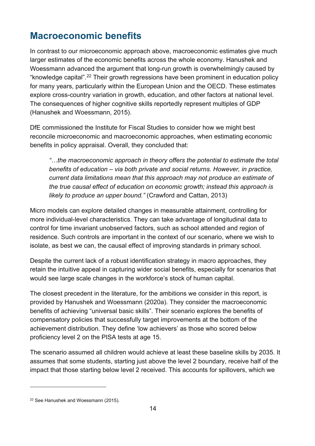# <span id="page-13-0"></span>**Macroeconomic benefits**

In contrast to our microeconomic approach above, macroeconomic estimates give much larger estimates of the economic benefits across the whole economy. Hanushek and Woessmann advanced the argument that long-run growth is overwhelmingly caused by "knowledge capital".[22](#page-13-1) Their growth regressions have been prominent in education policy for many years, particularly within the European Union and the OECD. These estimates explore cross-country variation in growth, education, and other factors at national level. The consequences of higher cognitive skills reportedly represent multiples of GDP (Hanushek and Woessmann, 2015).

DfE commissioned the Institute for Fiscal Studies to consider how we might best reconcile microeconomic and macroeconomic approaches, when estimating economic benefits in policy appraisal. Overall, they concluded that:

*"…the macroeconomic approach in theory offers the potential to estimate the total benefits of education – via both private and social returns. However, in practice, current data limitations mean that this approach may not produce an estimate of the true causal effect of education on economic growth; instead this approach is likely to produce an upper bound."* (Crawford and Cattan, 2013)

Micro models can explore detailed changes in measurable attainment, controlling for more individual-level characteristics. They can take advantage of longitudinal data to control for time invariant unobserved factors, such as school attended and region of residence. Such controls are important in the context of our scenario, where we wish to isolate, as best we can, the causal effect of improving standards in primary school.

Despite the current lack of a robust identification strategy in macro approaches, they retain the intuitive appeal in capturing wider social benefits, especially for scenarios that would see large scale changes in the workforce's stock of human capital.

The closest precedent in the literature, for the ambitions we consider in this report, is provided by Hanushek and Woessmann (2020a). They consider the macroeconomic benefits of achieving "universal basic skills". Their scenario explores the benefits of compensatory policies that successfully target improvements at the bottom of the achievement distribution. They define 'low achievers' as those who scored below proficiency level 2 on the PISA tests at age 15.

The scenario assumed all children would achieve at least these baseline skills by 2035. It assumes that some students, starting just above the level 2 boundary, receive half of the impact that those starting below level 2 received. This accounts for spillovers, which we

<span id="page-13-1"></span><sup>22</sup> See Hanushek and Woessmann (2015).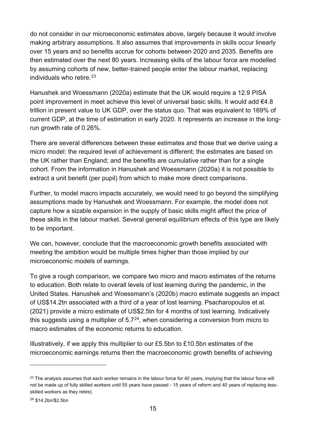do not consider in our microeconomic estimates above, largely because it would involve making arbitrary assumptions. It also assumes that improvements in skills occur linearly over 15 years and so benefits accrue for cohorts between 2020 and 2035. Benefits are then estimated over the next 80 years. Increasing skills of the labour force are modelled by assuming cohorts of new, better-trained people enter the labour market, replacing individuals who retire.[23](#page-14-0)

Hanushek and Woessmann (2020a) estimate that the UK would require a 12.9 PISA point improvement in meet achieve this level of universal basic skills. It would add €4.8 trillion in present value to UK GDP, over the status quo. That was equivalent to 169% of current GDP, at the time of estimation in early 2020. It represents an increase in the longrun growth rate of 0.26%.

There are several differences between these estimates and those that we derive using a micro model: the required level of achievement is different; the estimates are based on the UK rather than England; and the benefits are cumulative rather than for a single cohort. From the information in Hanushek and Woessmann (2020a) it is not possible to extract a unit benefit (per pupil) from which to make more direct comparisons.

Further, to model macro impacts accurately, we would need to go beyond the simplifying assumptions made by Hanushek and Woessmann. For example, the model does not capture how a sizable expansion in the supply of basic skills might affect the price of these skills in the labour market. Several general equilibrium effects of this type are likely to be important.

We can, however, conclude that the macroeconomic growth benefits associated with meeting the ambition would be multiple times higher than those implied by our microeconomic models of earnings.

To give a rough comparison, we compare two micro and macro estimates of the returns to education. Both relate to overall levels of lost learning during the pandemic, in the United States. Hanushek and Woessmann's (2020b) macro estimate suggests an impact of US\$14.2tn associated with a third of a year of lost learning. Psacharopoulos et al. (2021) provide a micro estimate of US\$2.5tn for 4 months of lost learning. Indicatively this suggests using a multiplier of  $5.7<sup>24</sup>$ , when considering a conversion from micro to macro estimates of the economic returns to education.

Illustratively, if we apply this multiplier to our £5.5bn to £10.5bn estimates of the microeconomic earnings returns then the macroeconomic growth benefits of achieving

<span id="page-14-0"></span> $23$  The analysis assumes that each worker remains in the labour force for 40 years, implying that the labour force will not be made up of fully skilled workers until 55 years have passed - 15 years of reform and 40 years of replacing lessskilled workers as they retire).

<span id="page-14-1"></span><sup>24</sup> \$14.2bn/\$2.5bn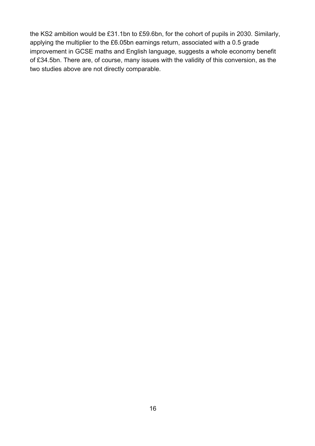the KS2 ambition would be £31.1bn to £59.6bn, for the cohort of pupils in 2030. Similarly, applying the multiplier to the £6.05bn earnings return, associated with a 0.5 grade improvement in GCSE maths and English language, suggests a whole economy benefit of £34.5bn. There are, of course, many issues with the validity of this conversion, as the two studies above are not directly comparable.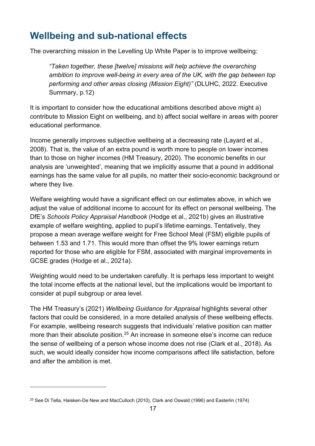# <span id="page-16-0"></span>**Wellbeing and sub-national effects**

The overarching mission in the Levelling Up White Paper is to improve wellbeing:

*"Taken together, these [twelve] missions will help achieve the overarching ambition to improve well-being in every area of the UK, with the gap between top performing and other areas closing (Mission Eight)"* (DLUHC, 2022. Executive Summary, p.12)

It is important to consider how the educational ambitions described above might a) contribute to Mission Eight on wellbeing, and b) affect social welfare in areas with poorer educational performance.

Income generally improves subjective wellbeing at a decreasing rate (Layard et al., 2008). That is, the value of an extra pound is worth more to people on lower incomes than to those on higher incomes (HM Treasury, 2020). The economic benefits in our analysis are 'unweighted', meaning that we implicitly assume that a pound in additional earnings has the same value for all pupils, no matter their socio-economic background or where they live.

Welfare weighting would have a significant effect on our estimates above, in which we adjust the value of additional income to account for its effect on personal wellbeing. The DfE's *Schools Policy Appraisal Handbook* (Hodge et al., 2021b) gives an illustrative example of welfare weighting, applied to pupil's lifetime earnings. Tentatively, they propose a mean average welfare weight for Free School Meal (FSM) eligible pupils of between 1.53 and 1.71. This would more than offset the 9% lower earnings return reported for those who are eligible for FSM, associated with marginal improvements in GCSE grades (Hodge et al., 2021a).

Weighting would need to be undertaken carefully. It is perhaps less important to weight the total income effects at the national level, but the implications would be important to consider at pupil subgroup or area level.

The HM Treasury's (2021) *Wellbeing Guidance for Appraisal* highlights several other factors that could be considered, in a more detailed analysis of these wellbeing effects. For example, wellbeing research suggests that individuals' relative position can matter more than their absolute position.<sup>[25](#page-16-1)</sup> An increase in someone else's income can reduce the sense of wellbeing of a person whose income does not rise (Clark et al., 2018). As such, we would ideally consider how income comparisons affect life satisfaction, before and after the ambition is met.

<span id="page-16-1"></span><sup>&</sup>lt;sup>25</sup> See Di Tella, Haisken-De New and MacCulloch (2010), Clark and Oswald (1996) and Easterlin (1974)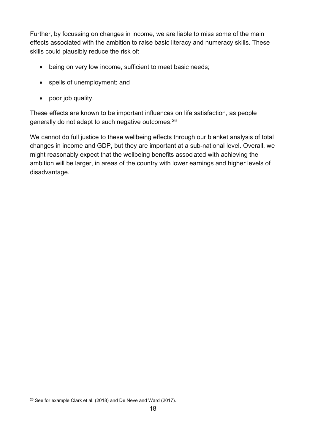Further, by focussing on changes in income, we are liable to miss some of the main effects associated with the ambition to raise basic literacy and numeracy skills. These skills could plausibly reduce the risk of:

- being on very low income, sufficient to meet basic needs;
- spells of unemployment; and
- poor job quality.

These effects are known to be important influences on life satisfaction, as people generally do not adapt to such negative outcomes.[26](#page-17-0)

We cannot do full justice to these wellbeing effects through our blanket analysis of total changes in income and GDP, but they are important at a sub-national level. Overall, we might reasonably expect that the wellbeing benefits associated with achieving the ambition will be larger, in areas of the country with lower earnings and higher levels of disadvantage.

<span id="page-17-0"></span><sup>&</sup>lt;sup>26</sup> See for example Clark et al. (2018) and De Neve and Ward (2017).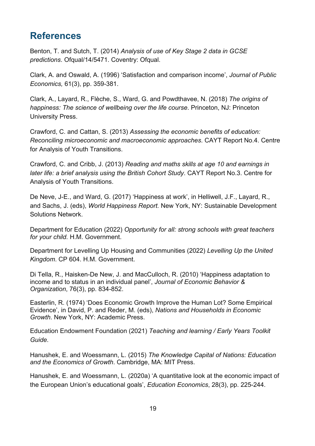## <span id="page-18-0"></span>**References**

Benton, T. and Sutch, T. (2014) *Analysis of use of Key Stage 2 data in GCSE predictions*. Ofqual/14/5471. Coventry: Ofqual.

Clark, A. and Oswald, A. (1996) 'Satisfaction and comparison income', *Journal of Public Economics,* 61(3), pp. 359-381.

Clark, A., Layard, R., Flèche, S., Ward, G. and Powdthavee, N. (2018) *The origins of happiness: The science of wellbeing over the life course*. Princeton, NJ: Princeton University Press.

Crawford, C. and Cattan, S. (2013) *Assessing the economic benefits of education: Reconciling microeconomic and macroeconomic approaches*. CAYT Report No.4. Centre for Analysis of Youth Transitions.

Crawford, C. and Cribb, J. (2013) *Reading and maths skills at age 10 and earnings in later life: a brief analysis using the British Cohort Study*. CAYT Report No.3. Centre for Analysis of Youth Transitions.

De Neve, J-E., and Ward, G. (2017) 'Happiness at work', in Helliwell, J.F., Layard, R., and Sachs, J. (eds), *World Happiness Report.* New York, NY: Sustainable Development Solutions Network.

Department for Education (2022) *Opportunity for all: strong schools with great teachers for your child.* H.M. Government.

Department for Levelling Up Housing and Communities (2022) *Levelling Up the United Kingdom*. CP 604. H.M. Government.

Di Tella, R., Haisken-De New, J. and MacCulloch, R. (2010) 'Happiness adaptation to income and to status in an individual panel', *Journal of Economic Behavior & Organization*, 76(3), pp. 834-852.

Easterlin, R. (1974) 'Does Economic Growth Improve the Human Lot? Some Empirical Evidence', in David, P. and Reder, M. (eds), *Nations and Households in Economic Growth*. New York, NY: Academic Press.

Education Endowment Foundation (2021) *Teaching and learning / Early Years Toolkit Guide*.

Hanushek, E. and Woessmann, L. (2015) *The Knowledge Capital of Nations: Education and the Economics of Growth*. Cambridge, MA: MIT Press.

Hanushek, E. and Woessmann, L. (2020a) 'A quantitative look at the economic impact of the European Union's educational goals', *Education Economics*, 28(3), pp. 225-244.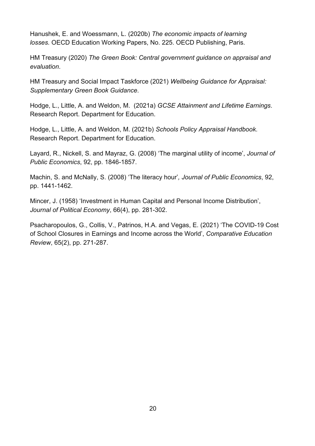Hanushek, E. and Woessmann, L. (2020b) *The economic impacts of learning losses.* OECD Education Working Papers, No. 225. OECD Publishing, Paris.

HM Treasury (2020) *The Green Book: Central government guidance on appraisal and evaluation*.

HM Treasury and Social Impact Taskforce (2021) *Wellbeing Guidance for Appraisal: Supplementary Green Book Guidance*.

Hodge, L., Little, A. and Weldon, M. (2021a) *GCSE Attainment and Lifetime Earnings*. Research Report. Department for Education.

Hodge, L., Little, A. and Weldon, M. (2021b) *Schools Policy Appraisal Handbook*. Research Report. Department for Education.

Layard, R., Nickell, S. and Mayraz, G. (2008) 'The marginal utility of income', *Journal of Public Economics*, 92, pp. 1846-1857.

Machin, S. and McNally, S. (2008) 'The literacy hour'*, Journal of Public Economics*, 92, pp. 1441-1462.

Mincer, J. (1958) 'Investment in Human Capital and Personal Income Distribution', *Journal of Political Economy*, 66(4), pp. 281-302.

Psacharopoulos, G., Collis, V., Patrinos, H.A. and Vegas, E. (2021) 'The COVID-19 Cost of School Closures in Earnings and Income across the World', *Comparative Education Review*, 65(2), pp. 271-287.